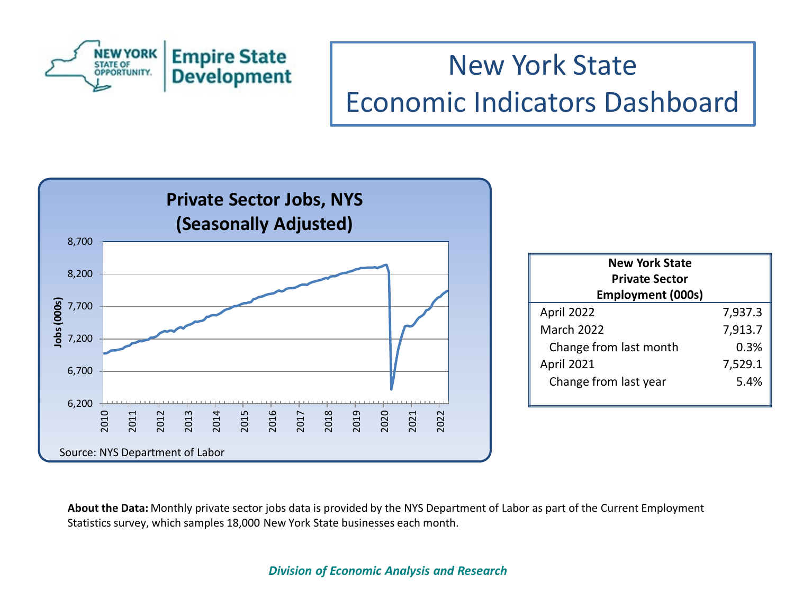



| <b>New York State</b><br><b>Private Sector</b><br><b>Employment (000s)</b> |         |  |
|----------------------------------------------------------------------------|---------|--|
| April 2022                                                                 | 7,937.3 |  |
| <b>March 2022</b>                                                          | 7,913.7 |  |
| Change from last month                                                     | 0.3%    |  |
| April 2021                                                                 | 7,529.1 |  |
| Change from last year                                                      | 5.4%    |  |

**About the Data:** Monthly private sector jobs data is provided by the NYS Department of Labor as part of the Current Employment Statistics survey, which samples 18,000 New York State businesses each month.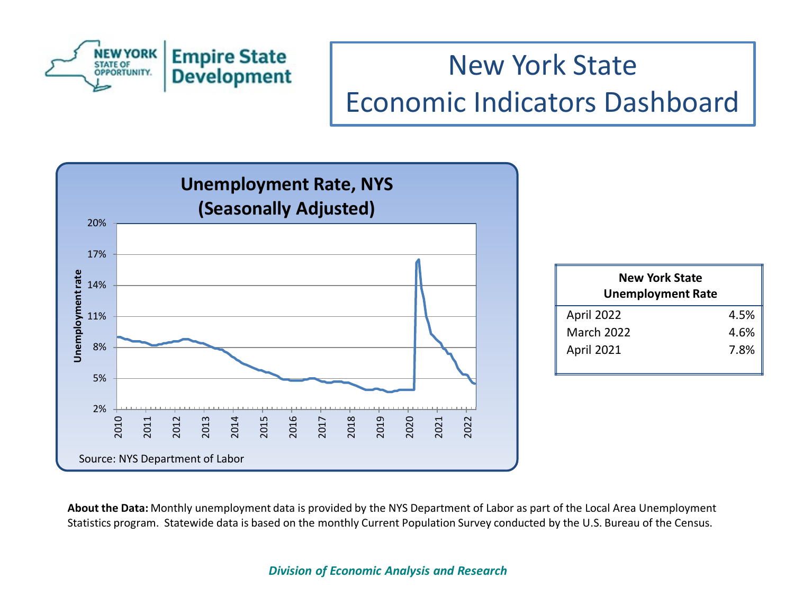



**About the Data:** Monthly unemployment data is provided by the NYS Department of Labor as part of the Local Area Unemployment Statistics program. Statewide data is based on the monthly Current Population Survey conducted by the U.S. Bureau of the Census.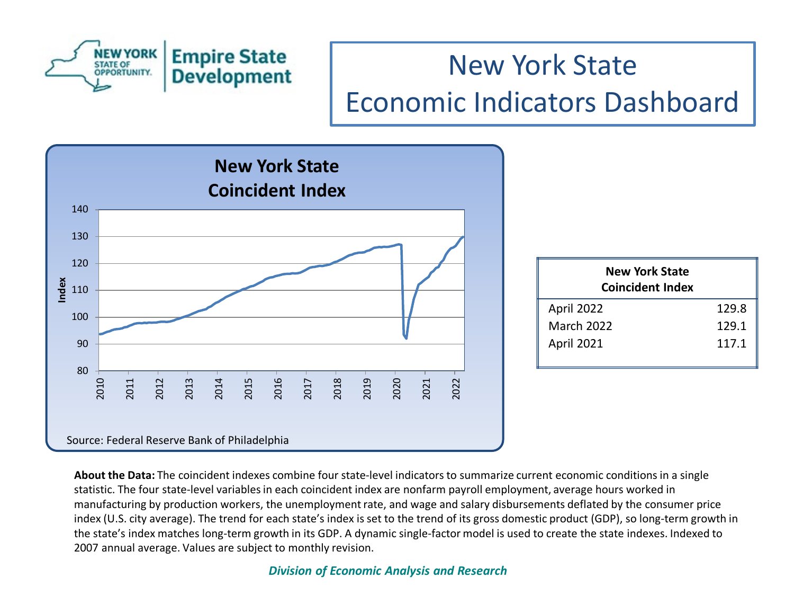



| <b>New York State</b><br><b>Coincident Index</b> |       |
|--------------------------------------------------|-------|
| April 2022                                       | 129.8 |
| <b>March 2022</b>                                | 129.1 |
| <b>April 2021</b>                                | 117.1 |

**About the Data:** The coincident indexes combine four state-level indicators to summarize current economic conditions in a single statistic. The four state-level variables in each coincident index are nonfarm payroll employment, average hours worked in manufacturing by production workers, the unemployment rate, and wage and salary disbursements deflated by the consumer price index (U.S. city average). The trend for each state's index is set to the trend of its gross domestic product (GDP), so long-term growth in the state's index matches long-term growth in its GDP. A dynamic single-factor model is used to create the state indexes. Indexed to 2007 annual average. Values are subject to monthly revision.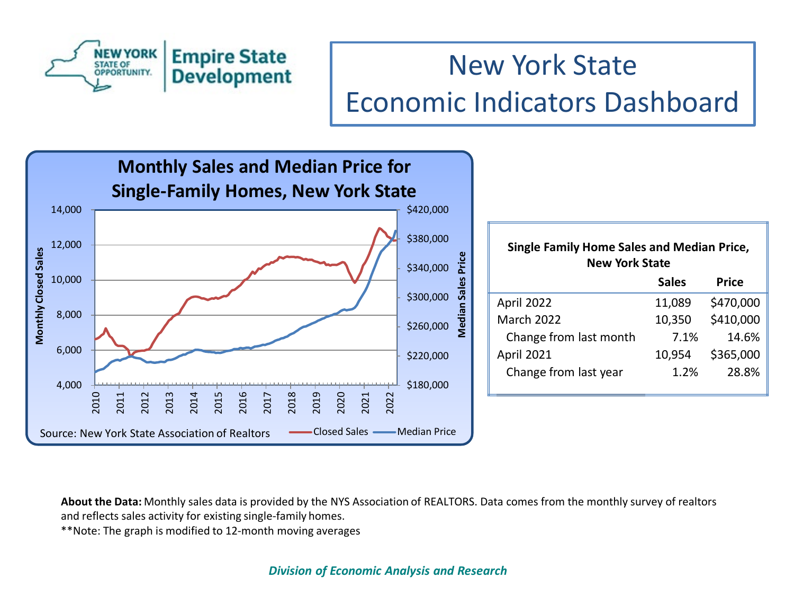



**About the Data:** Monthly sales data is provided by the NYS Association of REALTORS. Data comes from the monthly survey of realtors and reflects sales activity for existing single-family homes.

\*\*Note: The graph is modified to 12-month moving averages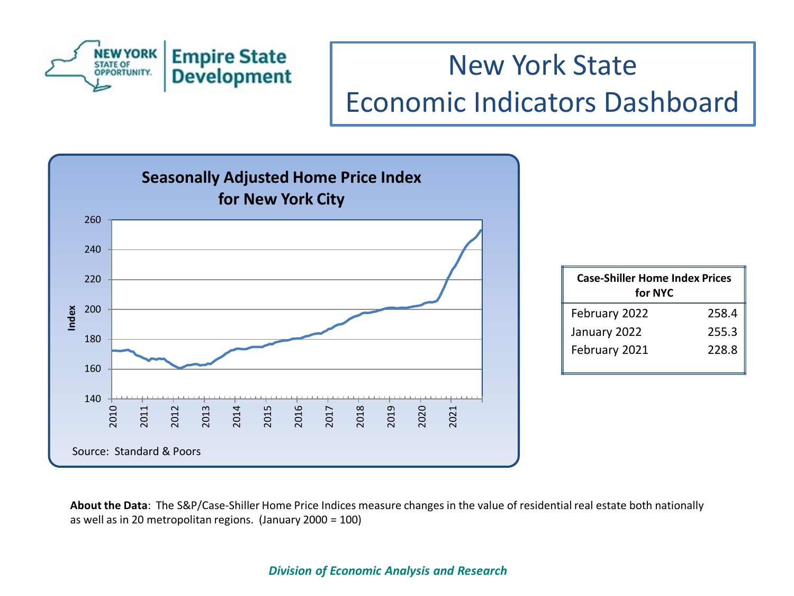



| <b>Case-Shiller Home Index Prices</b><br>for NYC |       |
|--------------------------------------------------|-------|
| February 2022                                    | 258.4 |
| January 2022                                     | 255.3 |
| February 2021                                    | 228.8 |

**About the Data**: The S&P/Case-Shiller Home Price Indices measure changes in the value of residential real estate both nationally as well as in 20 metropolitan regions. (January 2000 = 100)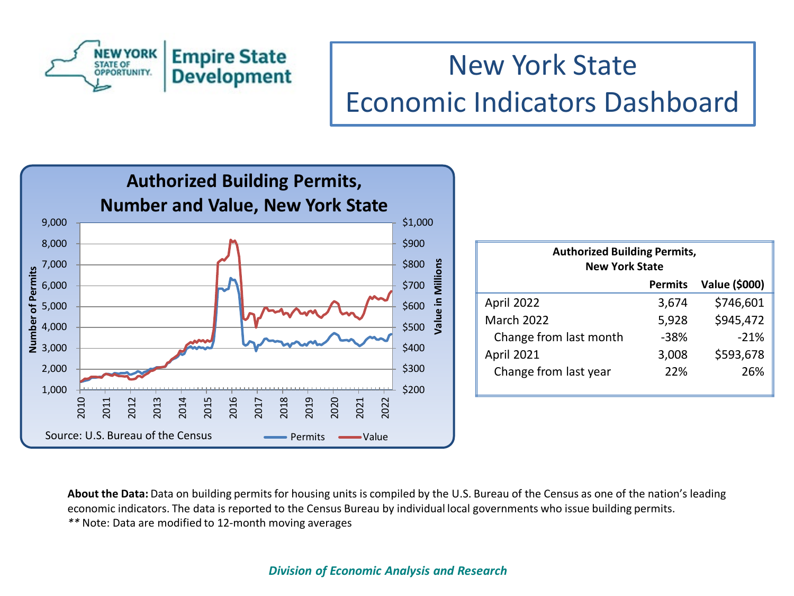



**About the Data:** Data on building permits for housing units is compiled by the U.S. Bureau of the Census as one of the nation's leading economic indicators. The data is reported to the Census Bureau by individual local governments who issue building permits. *\*\** Note: Data are modified to 12-month moving averages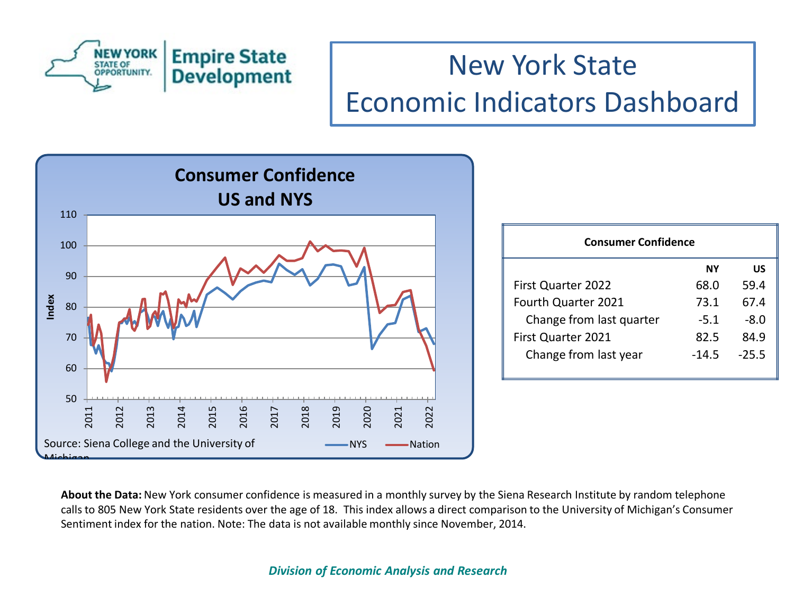



| <b>Consumer Confidence</b> |        |         |  |
|----------------------------|--------|---------|--|
|                            | NΥ     | บร      |  |
| <b>First Quarter 2022</b>  | 68.0   | 59.4    |  |
| Fourth Quarter 2021        | 73.1   | 67.4    |  |
| Change from last quarter   | $-5.1$ | -8.0    |  |
| First Quarter 2021         | 82.5   | 84.9    |  |
| Change from last year      | -14.5  | $-25.5$ |  |

**About the Data:** New York consumer confidence is measured in a monthly survey by the Siena Research Institute by random telephone calls to 805 New York State residents over the age of 18. This index allows a direct comparison to the University of Michigan's Consumer Sentiment index for the nation. Note: The data is not available monthly since November, 2014.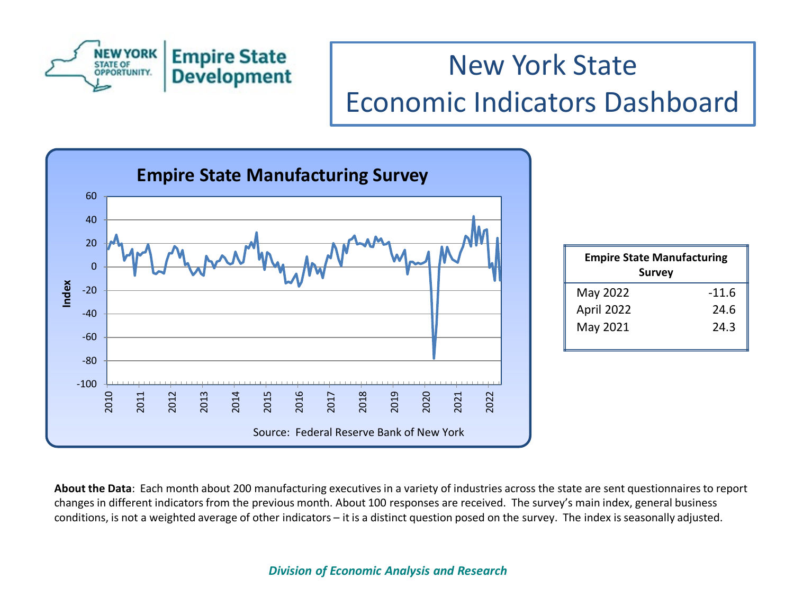



| <b>Empire State Manufacturing</b><br><b>Survey</b> |         |  |
|----------------------------------------------------|---------|--|
| May 2022                                           | $-11.6$ |  |
| April 2022                                         | 24.6    |  |
| May 2021                                           | 24.3    |  |

**About the Data**: Each month about 200 manufacturing executives in a variety of industries across the state are sent questionnaires to report changes in different indicators from the previous month. About 100 responses are received. The survey's main index, general business conditions, is not a weighted average of other indicators – it is a distinct question posed on the survey. The index is seasonally adjusted.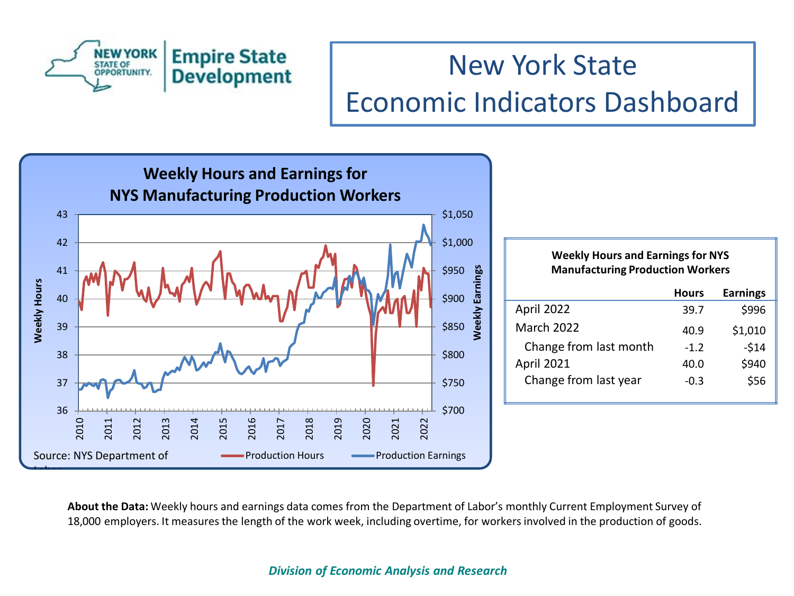



#### **Weekly Hours and Earnings for NYS Manufacturing Production Workers**

|                        | <b>Hours</b> | <b>Earnings</b> |
|------------------------|--------------|-----------------|
| April 2022             | 39.7         | \$996           |
| <b>March 2022</b>      | 40.9         | \$1,010         |
| Change from last month | $-1.2$       | $-514$          |
| April 2021             | 40.0         | \$940           |
| Change from last year  | $-0.3$       | \$56            |
|                        |              |                 |

**About the Data:** Weekly hours and earnings data comes from the Department of Labor's monthly Current Employment Survey of 18,000 employers. It measures the length of the work week, including overtime, for workers involved in the production of goods.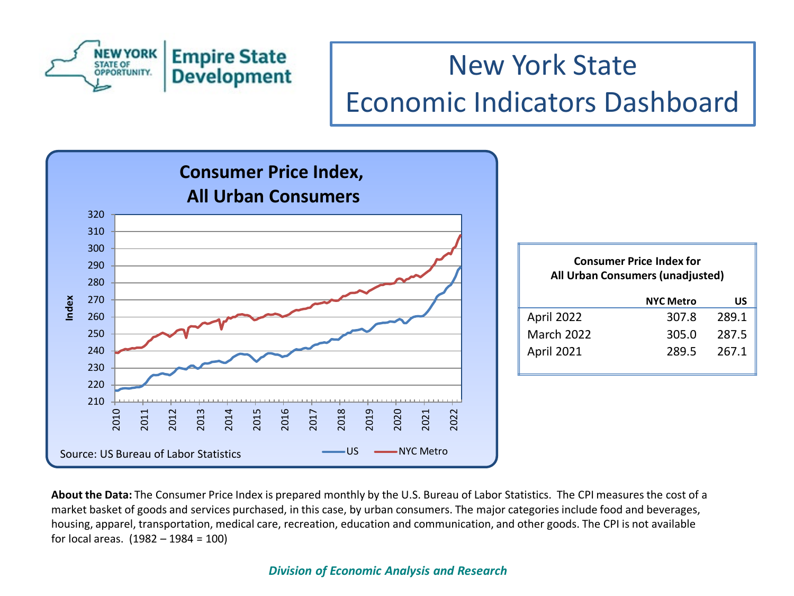



| <b>Consumer Price Index for</b><br>All Urban Consumers (unadjusted) |                  |       |
|---------------------------------------------------------------------|------------------|-------|
|                                                                     | <b>NYC Metro</b> | US    |
| April 2022                                                          | 307.8            | 289.1 |
| <b>March 2022</b>                                                   | 305.0            | 287.5 |
| April 2021                                                          | 289.5            | 267.1 |

**About the Data:** The Consumer Price Index is prepared monthly by the U.S. Bureau of Labor Statistics. The CPI measures the cost of a market basket of goods and services purchased, in this case, by urban consumers. The major categories include food and beverages, housing, apparel, transportation, medical care, recreation, education and communication, and other goods. The CPI is not available for local areas. (1982 – 1984 = 100)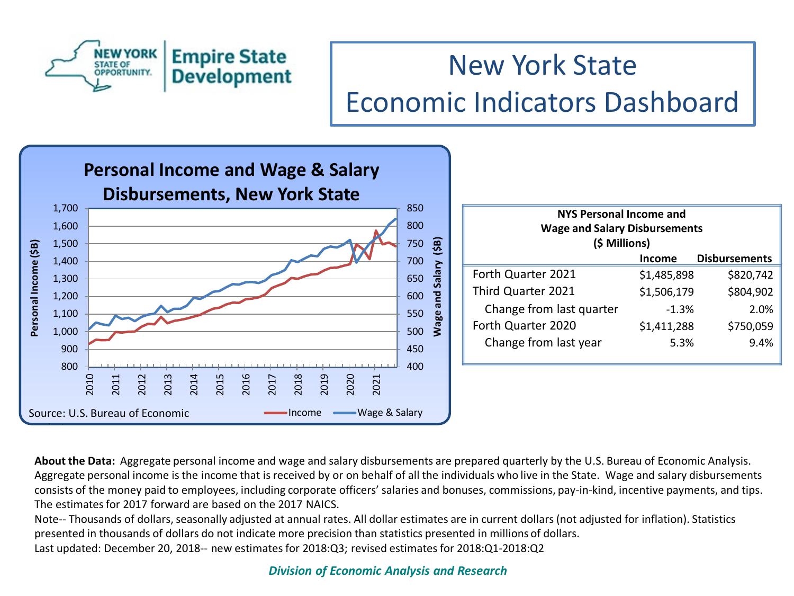



| <b>NYS Personal Income and</b><br><b>Wage and Salary Disbursements</b><br>(\$ Millions) |               |                      |
|-----------------------------------------------------------------------------------------|---------------|----------------------|
|                                                                                         | <b>Income</b> | <b>Disbursements</b> |
| Forth Quarter 2021                                                                      | \$1,485,898   | \$820,742            |
| Third Quarter 2021                                                                      | \$1,506,179   | \$804,902            |
| Change from last quarter                                                                | $-1.3%$       | 2.0%                 |
| Forth Quarter 2020                                                                      | \$1,411,288   | \$750,059            |
| Change from last year                                                                   | 5.3%          | 9.4%                 |

**About the Data:** Aggregate personal income and wage and salary disbursements are prepared quarterly by the U.S. Bureau of Economic Analysis. Aggregate personal income is the income that is received by or on behalf of all the individuals who live in the State. Wage and salary disbursements consists of the money paid to employees, including corporate officers' salaries and bonuses, commissions, pay-in-kind, incentive payments, and tips. The estimates for 2017 forward are based on the 2017 NAICS.

Note-- Thousands of dollars, seasonally adjusted at annual rates. All dollar estimates are in current dollars (not adjusted for inflation). Statistics presented in thousands of dollars do not indicate more precision than statistics presented in millions of dollars. Last updated: December 20, 2018-- new estimates for 2018:Q3; revised estimates for 2018:Q1-2018:Q2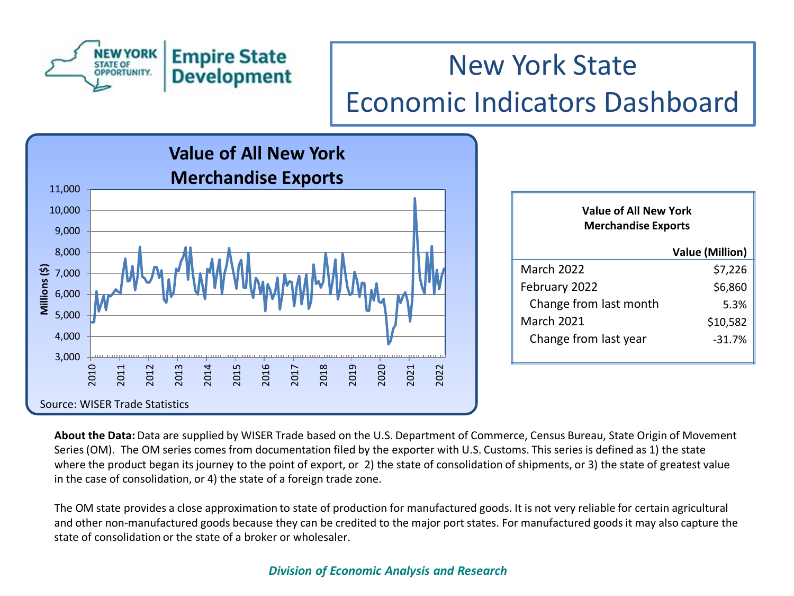



| Value of All New York<br><b>Merchandise Exports</b> |                        |  |
|-----------------------------------------------------|------------------------|--|
|                                                     | <b>Value (Million)</b> |  |
| March 2022                                          | \$7,226                |  |
| February 2022                                       | \$6,860                |  |
| Change from last month                              | 5.3%                   |  |
| <b>March 2021</b>                                   | \$10,582               |  |
| Change from last year                               | $-31.7%$               |  |

**About the Data:** Data are supplied by WISER Trade based on the U.S. Department of Commerce, Census Bureau, State Origin of Movement Series (OM). The OM series comes from documentation filed by the exporter with U.S. Customs. This series is defined as 1) the state where the product began its journey to the point of export, or 2) the state of consolidation of shipments, or 3) the state of greatest value in the case of consolidation, or 4) the state of a foreign trade zone.

The OM state provides a close approximation to state of production for manufactured goods. It is not very reliable for certain agricultural and other non-manufactured goods because they can be credited to the major port states. For manufactured goods it may also capture the state of consolidation or the state of a broker or wholesaler.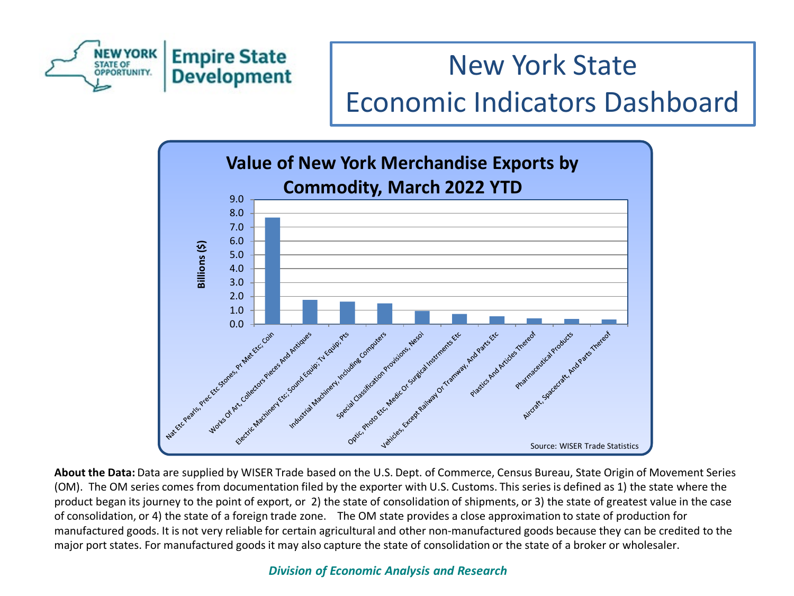



**About the Data:** Data are supplied by WISER Trade based on the U.S. Dept. of Commerce, Census Bureau, State Origin of Movement Series (OM). The OM series comes from documentation filed by the exporter with U.S. Customs. This series is defined as 1) the state where the product began its journey to the point of export, or 2) the state of consolidation of shipments, or 3) the state of greatest value in the case of consolidation, or 4) the state of a foreign trade zone. The OM state provides a close approximation to state of production for manufactured goods. It is not very reliable for certain agricultural and other non-manufactured goods because they can be credited to the major port states. For manufactured goods it may also capture the state of consolidation or the state of a broker or wholesaler.